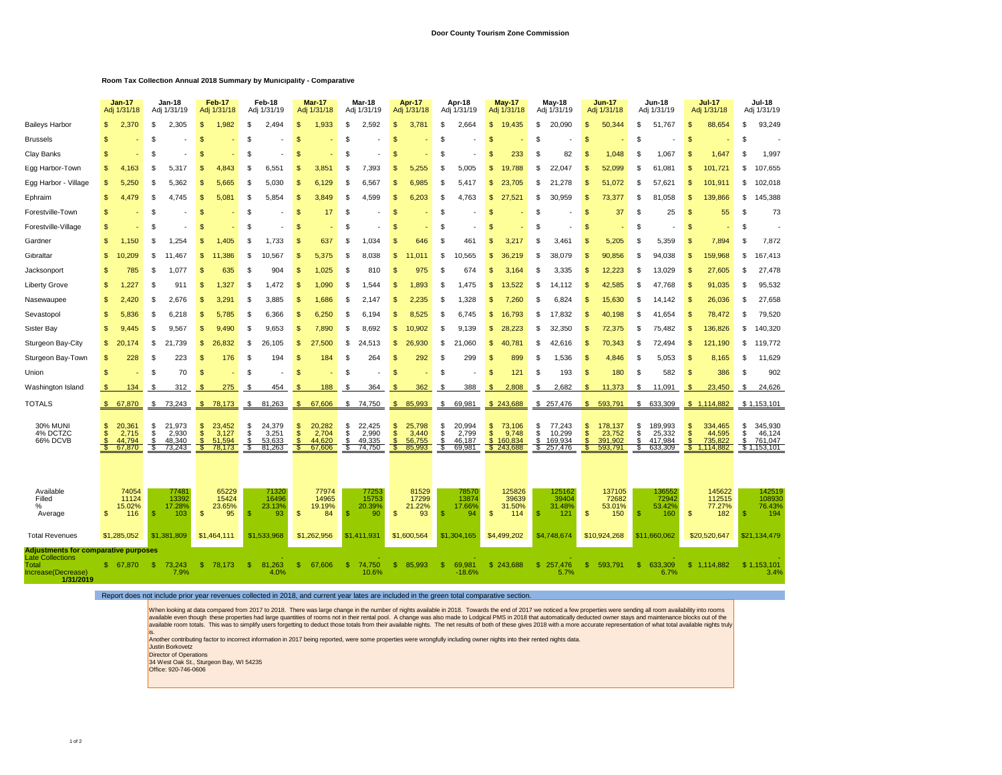## **Room Tax Collection Annual 2018 Summary by Municipality - Comparative**

|                                                                                                                    |                      | <b>Jan-17</b><br><b>Jan-18</b><br>Adj 1/31/18<br>Adj 1/31/19 |                     | Feb-17<br>Adj 1/31/18               |                     | Feb-18<br>Adj 1/31/19               |                     | <b>Mar-17</b><br>Adj 1/31/18        |                |                                     | Mar-18<br>Adj 1/31/19 |                                     | <b>Apr-17</b><br>Adj 1/31/18 |                                     | Apr-18<br>Adj 1/31/19 |                                     | <b>May-17</b><br>Adj 1/31/18 |                                         | <b>May-18</b><br>Adj 1/31/19 |                                          | <b>Jun-17</b><br>Adj 1/31/18 |                                         | <b>Jun-18</b><br>Adj 1/31/19 |                                         | <b>Jul-17</b><br>Adj 1/31/18 | <b>Jul-18</b><br>Adj 1/31/19              |               |                                             |
|--------------------------------------------------------------------------------------------------------------------|----------------------|--------------------------------------------------------------|---------------------|-------------------------------------|---------------------|-------------------------------------|---------------------|-------------------------------------|----------------|-------------------------------------|-----------------------|-------------------------------------|------------------------------|-------------------------------------|-----------------------|-------------------------------------|------------------------------|-----------------------------------------|------------------------------|------------------------------------------|------------------------------|-----------------------------------------|------------------------------|-----------------------------------------|------------------------------|-------------------------------------------|---------------|---------------------------------------------|
| <b>Baileys Harbor</b>                                                                                              | \$.                  | 2,370                                                        | £.                  | 2.305                               | <b>S</b>            | 1.982                               | S                   | 2,494                               | <b>S</b>       | 1.933                               | £.                    | 2,592                               | S                            | 3,78'                               | \$.                   | 2,664                               | \$.                          | 19.435                                  | \$.                          | 20.090                                   | <b>S</b>                     | 50.344                                  | S                            | 51.767                                  | S                            | 88,654                                    | \$.           | 93,249                                      |
| <b>Brussels</b>                                                                                                    | \$.                  |                                                              | \$                  |                                     |                     |                                     | \$.                 |                                     |                |                                     | £.                    |                                     |                              |                                     | \$.                   |                                     | £.                           |                                         | \$                           |                                          | S                            |                                         | £.                           |                                         | ዳ                            |                                           | S             |                                             |
| Clay Banks                                                                                                         | \$.                  |                                                              | £.                  |                                     |                     |                                     | \$.                 |                                     | -S             |                                     | £.                    |                                     |                              |                                     | £.                    |                                     | \$.                          | 233                                     | \$                           | 82                                       | 9.                           | 1.048                                   | S                            | 1.067                                   | S                            | 1,647                                     | \$.           | 1,997                                       |
| Egg Harbor-Town                                                                                                    | \$.                  | 4.163                                                        | £.                  | 5.317                               | \$.                 | 4.843                               | \$.                 | 6.551                               | <b>S</b>       | 3.85 <sup>′</sup>                   | \$                    | 7.393                               | S                            | 5.255                               | \$.                   | 5.005                               | £.                           | 19.788                                  | \$                           | 22.047                                   | 9                            | 52,099                                  | S                            | 61.081                                  | \$                           | 101,721                                   | \$.           | 107,655                                     |
| Egg Harbor - Village                                                                                               | \$.                  | 5.250                                                        | .S                  | 5.362                               |                     | 5.665                               | .S                  | 5.030                               |                | 6.129                               | S                     | 6.567                               | ç,                           | 6.985                               | £.                    | 5.417                               |                              | 23.705                                  | \$                           | 21.278                                   | 9.                           | 51.072                                  | £.                           | 57.621                                  | ç,                           | 101,911                                   | £.            | 102,018                                     |
| Ephraim                                                                                                            | \$                   | 4,479                                                        | £.                  | 4.745                               | \$.                 | 5.081                               | \$                  | 5,854                               | -S             | 3.849                               | £.                    | 4.599                               | S                            | 6.203                               | \$                    | 4.763                               | \$.                          | 27<br>.521                              | \$                           | 30.959                                   | S                            | 73.377                                  | S                            | 81.058                                  | S.                           | 139,866                                   | \$.           | 145,388                                     |
| Forestville-Town                                                                                                   | S                    |                                                              | S                   |                                     | \$.                 |                                     | \$                  |                                     | -S             | 17                                  | S                     |                                     | S                            |                                     | \$                    |                                     | \$.                          |                                         | S                            |                                          | S                            | 37                                      | S                            | 25                                      | S.                           | 55                                        | £             | 73                                          |
| Forestville-Village                                                                                                | \$.                  |                                                              | £.                  |                                     |                     |                                     | \$                  |                                     | -S             |                                     | £.                    |                                     | S                            |                                     | S                     |                                     | \$.                          |                                         | \$                           |                                          | 9                            |                                         | S                            |                                         | S.                           |                                           | <b>S</b>      |                                             |
| Gardner                                                                                                            | \$.                  | 1,150                                                        | \$.                 | .254                                |                     | 1                                   | \$                  | 1,733                               |                | 637                                 | £.                    | 1,034                               |                              | 646                                 | \$.                   | 461                                 |                              | 3.21                                    | \$                           | 3.461                                    |                              | 5,205                                   |                              | 5,359                                   | ዳ                            | 7,894                                     | s.            | 7,872                                       |
| Gibraltar                                                                                                          | \$.                  | 0,209                                                        | £.                  | 11<br>.467                          | \$.                 | 11,386                              | \$                  | 10,567                              |                | 5,375                               | S                     | 8,038                               | \$                           |                                     | S                     | 10,565                              |                              | 36.219                                  | S                            | 38.079                                   | S                            | 90,856                                  | S                            | 94,038                                  | S.                           | 159,968                                   | S             | 167,413                                     |
| Jacksonport                                                                                                        | S                    | 785                                                          | \$                  | 1,077                               | S                   | 635                                 | S                   | 904                                 | S              | 1,025                               | S                     | 810                                 | S                            | 975                                 | \$                    | 674                                 | \$.                          | 3,164                                   | S                            | 3,335                                    | S                            | 12,223                                  | \$                           | 13,029                                  | S                            | 27,605                                    | S             | 27,478                                      |
| <b>Liberty Grove</b>                                                                                               | S                    | .227                                                         | S.                  | 911                                 | \$                  | .327<br>1                           | S                   | 1.472                               | S              | 1.090                               | S                     | 1.544                               | S                            | 1.893                               | S                     | 1.475                               | \$.                          | 13.522                                  | S                            | 14.112                                   | S                            | 42.585                                  | S                            | 47.768                                  | $\mathbb{S}$                 | 91,035                                    | S             | 95,532                                      |
| Nasewaupee                                                                                                         | \$                   | 2.420                                                        | \$                  | 2.676                               | \$.                 | 3.29                                | \$                  | 3.885                               | S              | 1.686                               | £                     | 2.147                               | \$                           | 2.<br>235                           | S                     | 1.328                               |                              | 7.260                                   | \$                           | 6.824                                    | S                            | 15.630                                  | S                            | 14.142                                  | S                            | 26.036                                    | £             | 27,658                                      |
| Sevastopol                                                                                                         | S                    | 5,836                                                        | S                   | 6.218                               | <b>S</b>            | 5.785                               | S                   | 6,366                               | S              | 6.250                               | S                     | 6,194                               | S                            | 8.525                               | S                     | 6.745                               | \$.                          | 16.793                                  | S                            | 17.832                                   | S                            | 40.198                                  | S                            | 41.654                                  | S.                           | 78,472                                    | S             | 79,520                                      |
| Sister Bay                                                                                                         | \$.                  | 9,445                                                        | £.                  | 9.567                               | <b>S</b>            | 9.490                               | S                   | 9.653                               | -S             | 7.890                               | £.                    | 8,692                               | \$.                          | 10.902                              | S                     | 9,139                               | \$.                          | 28,223                                  | \$.                          | 32.350                                   | S                            | 72,375                                  | S                            | 75,482                                  | S.                           | 136,826                                   | £.            | 140,320                                     |
| Sturgeon Bay-City                                                                                                  | \$.                  | 20.174                                                       | £.                  | ,739<br>21                          | \$                  | 26.832                              | \$                  | 26,105                              | -S             | 27.500                              | £.                    | 24,513                              | \$.                          | 26.930                              | \$                    | 21.060                              | \$.                          | 40,781                                  | \$.                          | 42.616                                   | S                            | 70.343                                  | \$                           | 72,494                                  | \$                           | 121,190                                   | \$.           | 119,772                                     |
| Sturgeon Bay-Town                                                                                                  | \$                   | 228                                                          | £.                  | 223                                 | \$.                 | 176                                 | \$                  | 194                                 | -S             | 184                                 | £                     | 264                                 | S                            | 292                                 | S                     | 299                                 |                              | 899                                     | \$                           | .536                                     | S                            | 4,846                                   | -S                           | 5,053                                   | \$.                          | 8,165                                     | \$.           | 11,629                                      |
| Union                                                                                                              | \$.                  |                                                              | \$                  | 70                                  | -S                  |                                     | \$.                 |                                     | -S             |                                     | £.                    |                                     | S                            |                                     | S                     |                                     | S.                           | 121                                     | \$                           | 193                                      | S                            | 180                                     | -S                           | 582                                     | S.                           | 386                                       | \$.           | 902                                         |
| Washington Island                                                                                                  | -\$                  | 134                                                          | -\$                 | 312                                 | - \$                | 275                                 | - \$                | 454                                 | - \$           | 188                                 | S                     | 364                                 | S                            | 362                                 | \$                    | 388                                 | - \$                         | 2,808                                   | - \$                         | 2,682                                    | \$.                          | 11,373                                  | S                            | 11,091                                  | -S                           | 23,450                                    | \$            | 24,626                                      |
| <b>TOTALS</b>                                                                                                      | \$                   | 67,870                                                       | \$                  | 73,243                              | $\mathfrak{S}$      | 78,173                              | \$                  | 81,263                              | S,             | 67,606                              | \$                    | 74,750                              | -S                           | 85,993                              | \$                    | 69,981                              |                              | \$243,688                               |                              | \$257,476                                | s.                           | 593,791                                 | \$                           | 633,309                                 |                              | \$1,114,882                               |               | \$1,153,101                                 |
| <b>30% MUNI</b><br>4% DCTZC<br>66% DCVB                                                                            | \$<br>\$<br>S<br>్యా | 20,361<br>2,715<br>44,794<br>67,870                          | \$<br>\$<br>S<br>\$ | 21,973<br>2,930<br>48,340<br>73,243 | \$<br>\$<br>Ŝ<br>S. | 23,452<br>3,127<br>51.594<br>78,173 | \$<br>\$<br>Ŝ<br>\$ | 24,379<br>3,251<br>53,633<br>81,263 | -S<br>\$.<br>S | 20,282<br>2,704<br>44.620<br>67,606 | \$<br>\$<br>\$<br>S   | 22.425<br>2,990<br>49.335<br>74,750 | S<br>\$<br><b>S</b><br>- \$  | 25,798<br>3,440<br>56.755<br>85,993 | S<br>\$<br>S<br>\$    | 20.994<br>2,799<br>46,187<br>69,981 | S<br>\$<br>$\mathbb{S}$      | 73,106<br>9,748<br>160.834<br>\$243,688 | \$<br>\$<br>Š.               | 77,243<br>10,299<br>169.934<br>\$257,476 | S<br>\$<br>S<br>S            | 178,137<br>23,752<br>391.902<br>593,791 | \$<br>\$<br>S<br>S           | 189,993<br>25,332<br>417.984<br>633,309 | \$<br>\$.<br>$\mathcal{F}$   | 334,465<br>44,595<br>735,822<br>1,114,882 | S<br>\$<br>Ŝ. | 345,930<br>46,124<br>761,047<br>\$1,153,101 |
| Available<br>Filled<br>℅<br>Average                                                                                | \$                   | 74054<br>11124<br>15.02%<br>116                              | \$                  | 7748'<br>13392<br>17.28%<br>103     | $\mathfrak{s}$      | 65229<br>15424<br>23.65%<br>95      | \$.                 | 71320<br>16496<br>23.13%<br>93      | $\mathfrak{s}$ | 77974<br>14965<br>19.19%<br>84      | -S                    | 77253<br>15753<br>20.39%<br>90      | $\mathbf{s}$                 | 81529<br>17299<br>21.22%<br>93      | -S                    | 78570<br>13874<br>17.669<br>94      | \$.                          | 125826<br>39639<br>31.50%<br>114        | \$                           | 125162<br>39404<br>31.48%<br>121         | \$                           | 137105<br>72682<br>53.01%<br>150        | \$.                          | 136552<br>72942<br>53.42%<br>160        | $\mathsf{\$}$                | 145622<br>112515<br>77.27%<br>182         | .S            | 142519<br>108930<br>76.43%<br>194           |
| <b>Total Revenues</b>                                                                                              |                      | \$1,285,052                                                  |                     | \$1.381.809                         |                     | \$1,464,111                         |                     | \$1,533,968                         |                | \$1,262,956                         |                       | \$1.411.931                         |                              | \$1,600,564                         |                       | \$1,304,165                         |                              | \$4,499,202                             |                              | \$4,748,674                              |                              | \$10,924,268                            |                              | \$11,660,062                            |                              | \$20,520,647                              |               | \$21,134,479                                |
| <b>Adjustments for comparative purposes</b><br><b>Late Collections</b><br>Total<br>Increase(Decrease)<br>1/31/2019 | S.                   | 67,870                                                       | -S                  | 73,243<br>7.9%                      | -S                  | 78.173                              | s.                  | 81,263<br>4.0%                      | S              | 67,606                              | -S                    | 74,750<br>10.6%                     | <b>S</b>                     | 85,993                              | -SS                   | 69,981<br>$-18.6%$                  |                              | \$243,688                               | \$.                          | 257,476<br>5.7%                          | <b>S</b>                     | 593.791                                 | -S                           | 633,309<br>6.7%                         | S                            | 1,114,882                                 |               | \$1,153,101<br>3.4%                         |

Report does not include prior year revenues collected in 2018, and current year lates are included in the green total comparative section.

When looking at data compared from 2017 to 2018. There was large change in the number of nights available in 2018. Towards the end of 2017 we noticed a few properties were sending all room availability into rooms<br>available

is.<br>Another contributing factor to incorrect information in 2017 being reported, were some properties were wrongfully including owner nights into their rented nights data.<br>Director of Operations<br>Director of Operations<br>34 W